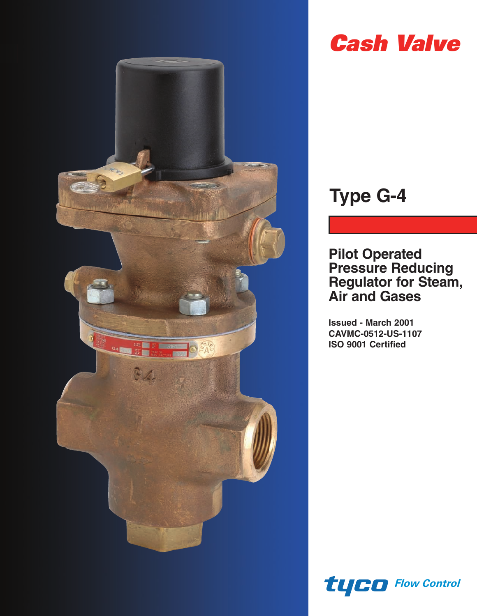

# *Cash Valve*

# **Type G-4**

**Pilot Operated Pressure Reducing Regulator for Steam, Air and Gases**

**Issued - March 2001 CAVMC-0512-US-1107 ISO 9001 Certified**

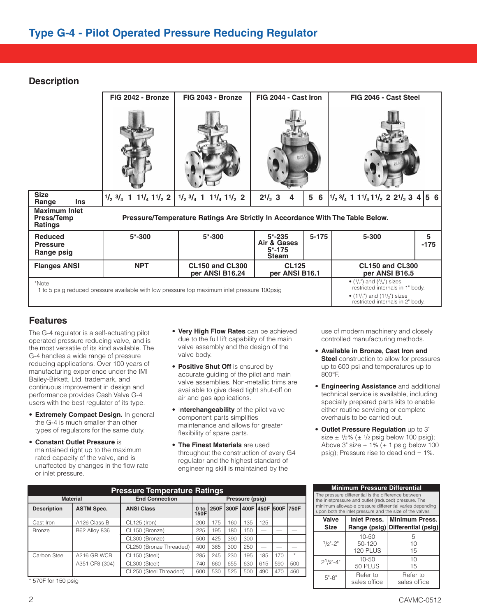## **Description**

| FIG 2042 - Bronze | FIG 2043 - Bronze                         |                                                                  |                                                                                             | FIG 2046 - Cast Steel                                                                            |                                                                                                                                                             |  |  |
|-------------------|-------------------------------------------|------------------------------------------------------------------|---------------------------------------------------------------------------------------------|--------------------------------------------------------------------------------------------------|-------------------------------------------------------------------------------------------------------------------------------------------------------------|--|--|
|                   |                                           |                                                                  |                                                                                             |                                                                                                  |                                                                                                                                                             |  |  |
|                   | $1/2$ $3/4$ 1 $11/4$ $11/2$ 2             | $2^{1/2}$ 3<br>4                                                 | 5 6                                                                                         |                                                                                                  |                                                                                                                                                             |  |  |
|                   |                                           |                                                                  |                                                                                             |                                                                                                  |                                                                                                                                                             |  |  |
| $5* - 300$        | $5* - 300$                                | $5* - 235$<br>Air & Gases<br>$5* - 175$<br><b>Steam</b>          |                                                                                             | 5-300                                                                                            | 5<br>$-175$                                                                                                                                                 |  |  |
| <b>NPT</b>        | <b>CL150 and CL300</b><br>per ANSI B16.24 |                                                                  |                                                                                             | <b>CL150 and CL300</b><br>per ANSI B16.5                                                         |                                                                                                                                                             |  |  |
|                   |                                           |                                                                  |                                                                                             | • $(1/2)$ and $(3/4)$ sizes<br>restricted internals in 1" body.<br>• $(11/4)$ and $(11/2)$ sizes |                                                                                                                                                             |  |  |
|                   |                                           | $1\frac{1}{2}$ $3\frac{1}{4}$ 1 $1\frac{1}{4}$ 1 $\frac{1}{2}$ 2 | 1 to 5 psig reduced pressure available with low pressure top maximum inlet pressure 100psig | FIG 2044 - Cast Iron<br><b>CL125</b><br>per ANSI B16.1                                           | 1/23/4111/411/2221/234 56<br>Pressure/Temperature Ratings Are Strictly In Accordance With The Table Below.<br>$5 - 175$<br>restricted internals in 2" body. |  |  |

## **Features**

The G-4 regulator is a self-actuating pilot operated pressure reducing valve, and is the most versatile of its kind available. The G-4 handles a wide range of pressure reducing applications. Over 100 years of manufacturing experience under the IMI Bailey-Birkett, Ltd. trademark, and continuous improvement in design and performance provides Cash Valve G-4 users with the best regulator of its type.

- **Extremely Compact Design.** In general the G-4 is much smaller than other types of regulators for the same duty.
- **Constant Outlet Pressure** is maintained right up to the maximum rated capacity of the valve, and is unaffected by changes in the flow rate or inlet pressure.
- **Very High Flow Rates** can be achieved due to the full lift capability of the main valve assembly and the design of the valve body.
- **Positive Shut Off** is ensured by accurate guiding of the pilot and main valve assemblies. Non-metallic trims are available to give dead tight shut-off on air and gas applications.
- I**nterchangeability** of the pilot valve component parts simplifies maintenance and allows for greater flexibility of spare parts.
- **The Finest Materials** are used throughout the construction of every G4 regulator and the highest standard of engineering skill is maintained by the

use of modern machinery and closely controlled manufacturing methods.

- **Available in Bronze, Cast Iron and Steel** construction to allow for pressures up to 600 psi and temperatures up to 800°F.
- **Engineering Assistance** and additional technical service is available, including specially prepared parts kits to enable either routine servicing or complete overhauls to be carried out.
- **Outlet Pressure Regulation** up to 3" size  $\pm$  1/2% ( $\pm$  1/2 psig below 100 psig); Above  $3^{\circ}$  size  $\pm$  1% ( $\pm$  1 psig below 100 psig); Pressure rise to dead end = 1%.

|                    | <b>Pressure Temperature Ratings</b> |                         |                         |       |     |                 |     |                               |         |  |  |  |  |
|--------------------|-------------------------------------|-------------------------|-------------------------|-------|-----|-----------------|-----|-------------------------------|---------|--|--|--|--|
|                    | <b>Material</b>                     | <b>End Connection</b>   |                         |       |     | Pressure (psig) |     |                               |         |  |  |  |  |
| <b>Description</b> | <b>ASTM Spec.</b>                   | <b>ANSI Class</b>       | 0 <sub>to</sub><br>150F | 1250F |     |                 |     | 1300F 1400F 1450F 1500F 1750F |         |  |  |  |  |
| Cast Iron          | A126 Class B                        | CL125 (Iron)            | 200                     | 175   | 160 | 135             | 125 |                               |         |  |  |  |  |
| <b>Bronze</b>      | <b>B62 Alloy 836</b>                | CL150 (Bronze)          | 225                     | 195   | 180 | 150             | _   | _                             |         |  |  |  |  |
|                    |                                     | CL300 (Bronze)          | 500                     | 425   | 390 | 300             |     |                               |         |  |  |  |  |
|                    |                                     | CL250 (Bronze Threaded) | 400                     | 365   | 300 | 250             |     |                               |         |  |  |  |  |
| Carbon Steel       | A216 GR WCB                         | CL150 (Steel)           | 285                     | 245   | 230 | 195             | 185 | 170                           | $\star$ |  |  |  |  |
|                    | A351 CF8 (304)                      | CL300 (Steel)           | 740                     | 660   | 655 | 630             | 615 | 590                           | 500     |  |  |  |  |
|                    |                                     | CL250 (Steel Threaded)  | 600                     | 530   | 525 | 500             | 490 | 470                           | 460     |  |  |  |  |

\* 570F for 150 psig

**Minimum Pressure Differential** The pressure differential is the difference between the inletpressure and outlet (reduced) pressure. The minimum allowable pressure differential varies depending upon both the inlet pressure and the size of the valves Valve | Inlet Press. | Minimum Press. Size | Range (psig) Differential (psig) 10-50 5  $1/2$ "-2" 50-120 10 120 PLUS 15 2<sup>1</sup>/2"-4" 10-50 10<br>50 PLUS 15 50 PLUS 5"-6" Refer to Refer to<br>sales office sales office sales office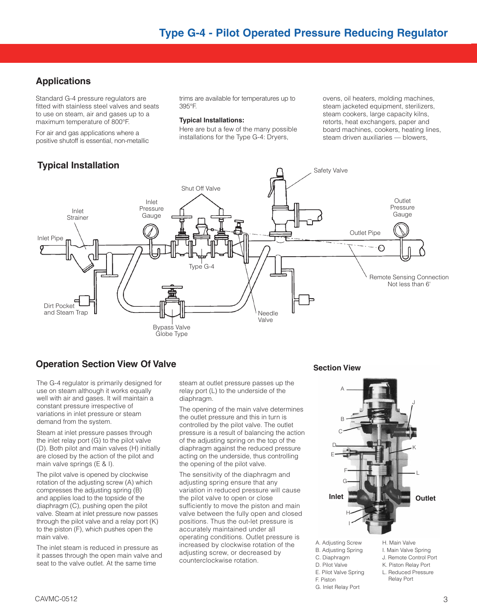## **Applications**

Standard G-4 pressure regulators are fitted with stainless steel valves and seats to use on steam, air and gases up to a maximum temperature of 800°F.

For air and gas applications where a positive shutoff is essential, non-metallic

# **Typical Installation**

trims are available for temperatures up to 395°F.

#### **Typical Installations:**

Here are but a few of the many possible installations for the Type G-4: Dryers,

ovens, oil heaters, molding machines, steam jacketed equipment, sterilizers, steam cookers, large capacity kilns, retorts, heat exchangers, paper and board machines, cookers, heating lines, steam driven auxiliaries — blowers,



# **Operation Section View Of Valve Section View** Section View

The G-4 regulator is primarily designed for use on steam although it works equally well with air and gases. It will maintain a constant pressure irrespective of variations in inlet pressure or steam demand from the system.

Steam at inlet pressure passes through the inlet relay port (G) to the pilot valve (D). Both pilot and main valves (H) initially are closed by the action of the pilot and main valve springs (E & I).

The pilot valve is opened by clockwise rotation of the adjusting screw (A) which compresses the adjusting spring (B) and applies load to the topside of the diaphragm (C), pushing open the pilot valve. Steam at inlet pressure now passes through the pilot valve and a relay port (K) to the piston (F), which pushes open the main valve.

The inlet steam is reduced in pressure as it passes through the open main valve and seat to the valve outlet. At the same time

steam at outlet pressure passes up the relay port (L) to the underside of the diaphragm.

The opening of the main valve determines the outlet pressure and this in turn is controlled by the pilot valve. The outlet pressure is a result of balancing the action of the adjusting spring on the top of the diaphragm against the reduced pressure acting on the underside, thus controlling the opening of the pilot valve.

The sensitivity of the diaphragm and adjusting spring ensure that any variation in reduced pressure will cause the pilot valve to open or close sufficiently to move the piston and main valve between the fully open and closed positions. Thus the out-let pressure is accurately maintained under all operating conditions. Outlet pressure is increased by clockwise rotation of the adjusting screw, or decreased by counterclockwise rotation.

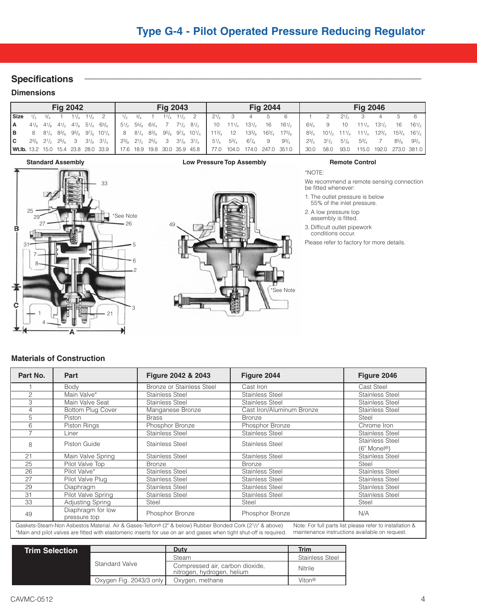## $S$  pecifications

#### **Dimensions**

|        |                |  | <b>Fig 2042</b> |                                                                               |  |                             | <b>Fig 2043</b> |                                                                                                                     |                           |              | <b>Fig 2044</b> |                                                                                                                                                                                                                                                                                               |                |                     |           | <b>Fig 2046</b> |      |                 |
|--------|----------------|--|-----------------|-------------------------------------------------------------------------------|--|-----------------------------|-----------------|---------------------------------------------------------------------------------------------------------------------|---------------------------|--------------|-----------------|-----------------------------------------------------------------------------------------------------------------------------------------------------------------------------------------------------------------------------------------------------------------------------------------------|----------------|---------------------|-----------|-----------------|------|-----------------|
| l Size | $1\frac{1}{2}$ |  |                 | $3/4$ 1 $11/4$ $11/3$ 2                                                       |  | $1/2$ $3/4$ 1 $1/4$ $1/2$ 2 |                 |                                                                                                                     | $2^{1/2}$ 3               | 4 5          |                 | - 6                                                                                                                                                                                                                                                                                           |                |                     | $2^{1/2}$ |                 |      |                 |
| l A    |                |  |                 | $4^{1}/_{8}$ $4^{1}/_{8}$ $4^{1}/_{2}$ $4^{7}/_{8}$ $5^{1}/_{4}$ $6^{3}/_{8}$ |  |                             |                 | $5\frac{1}{2}$ $5\frac{5}{8}$ $6\frac{3}{4}$ 7 $7\frac{1}{2}$ $8\frac{1}{2}$ 10 $11\frac{1}{4}$ 13 $\frac{1}{2}$ 16 |                           |              |                 | $16^{1/2}$                                                                                                                                                                                                                                                                                    | 63/7           |                     | 10        | $111/7$ $131/5$ |      | $16 \t16^{1/2}$ |
| lв.    |                |  |                 |                                                                               |  |                             |                 |                                                                                                                     |                           |              |                 | 8 81/4 83/ <sub>8</sub> 95/ <sub>8</sub> 97/ <sub>8</sub> 101/4   8 81/4 83/ <sub>8</sub> 95/ <sub>8</sub> 97/ <sub>8</sub> 101/4   113/ <sub>4</sub> 12 133/ <sub>8</sub> 163/ <sub>4</sub> 175/ <sub>8</sub>   83/4 101/ <sub>2</sub> 111/ <sub>4</sub> 111/4 123/4 153/4 161/ <sub>2</sub> |                |                     |           |                 |      |                 |
| lc.    |                |  |                 | $2^{3}/_{8}$ $2^{1}/_{2}$ $2^{5}/_{8}$ 3 $3^{1}/_{8}$ $3^{1}/_{4}$            |  |                             |                 | $2^{3}/_{8}$ $2^{1}/_{2}$ $2^{5}/_{8}$ 3 $3^{1}/_{8}$ $3^{1}/_{4}$                                                  | $5^{1}/_{4}$ $5^{3}/_{4}$ | $6^{7}/_{8}$ | - 9             | $9^{3}/_{4}$                                                                                                                                                                                                                                                                                  | $2^{3}/_{4}$   | $3^{1/2}$ $5^{1/2}$ |           | $5^{3}/_{4}$    | 85/3 | $93/7$          |
|        |                |  |                 |                                                                               |  |                             |                 | <b>Wt.Ib.</b> 13.2 15.0 15.4 23.8 28.0 33.9   17.6 18.9 19.8 30.0 35.9 45.8                                         |                           |              |                 | 77.0 104.0 174.0 247.0 351.0                                                                                                                                                                                                                                                                  | 30.0 58.0 93.0 |                     |           | 115.0 192.0     |      | 273.0 381.0     |

#### **Standard Assembly Low Pressure Top Assembly Remote Control**





We recommend a remote sensing connection be fitted whenever:

- 1. The outlet pressure is below 55% of the inlet pressure.
- 2. A low pressure top
- assembly is fitted.

\*NOTE:

3. Difficult outlet pipework conditions occur.

Please refer to factory for more details.

#### **Materials of Construction**

| Part No. | Part                              | Figure 2042 & 2043                                                                                       | Figure 2044               | Figure 2046                                              |
|----------|-----------------------------------|----------------------------------------------------------------------------------------------------------|---------------------------|----------------------------------------------------------|
|          | Body                              | <b>Bronze or Stainless Steel</b>                                                                         | Cast Iron                 | Cast Steel                                               |
| 2        | Main Valve*                       | Stainless Steel                                                                                          | <b>Stainless Steel</b>    | <b>Stainless Steel</b>                                   |
| 3        | Main Valve Seat                   | Stainless Steel                                                                                          | Stainless Steel           | Stainless Steel                                          |
| 4        | <b>Bottom Plug Cover</b>          | Manganese Bronze                                                                                         | Cast Iron/Aluminum Bronze | Stainless Steel                                          |
| 5        | Piston                            | <b>Brass</b>                                                                                             | <b>Bronze</b>             | Steel                                                    |
| 6        | Piston Rings                      | Phosphor Bronze                                                                                          | Phosphor Bronze           | Chrome Iron                                              |
|          | Liner                             | Stainless Steel                                                                                          | <b>Stainless Steel</b>    | Stainless Steel                                          |
| 8        | Piston Guide                      | Stainless Steel                                                                                          | <b>Stainless Steel</b>    | <b>Stainless Steel</b>                                   |
|          |                                   |                                                                                                          |                           | (6" Monel <sup>®</sup> )                                 |
| 21       | Main Valve Spring                 | Stainless Steel                                                                                          | Stainless Steel           | Stainless Steel                                          |
| 25       | Pilot Valve Top                   | <b>Bronze</b>                                                                                            | <b>Bronze</b>             | Steel                                                    |
| 26       | Pilot Valve*                      | Stainless Steel                                                                                          | <b>Stainless Steel</b>    | Stainless Steel                                          |
| 27       | Pilot Valve Plug                  | Stainless Steel                                                                                          | Stainless Steel           | <b>Stainless Steel</b>                                   |
| 29       | Diaphragm                         | Stainless Steel                                                                                          | Stainless Steel           | <b>Stainless Steel</b>                                   |
| 31       | Pilot Valve Spring                | Stainless Steel                                                                                          | <b>Stainless Steel</b>    | <b>Stainless Steel</b>                                   |
| 33       | Adjusting Spring                  | Steel                                                                                                    | <b>Steel</b>              | Steel                                                    |
| 49       | Diaphragm for low<br>pressure top | Phosphor Bronze                                                                                          | Phosphor Bronze           | N/A                                                      |
|          |                                   | Gaskets-Steam-Non Asbestos Material. Air & Gases-Teflon® (2" & below) Rubber Bonded Cork (21/2" & above) |                           | Note: For full parts list please refer to installation & |

\*Main and pilot valves are fitted with elastomeric inserts for use on air and gases when tight shut-off is required. maintenance instructions available on request.

| <b>Trim Selection</b> |                         | Duty                                                          | <b>Trim</b>        |
|-----------------------|-------------------------|---------------------------------------------------------------|--------------------|
|                       |                         | Steam                                                         | Stainless Steel    |
|                       | <b>Standard Valve</b>   | Compressed air, carbon dioxide,<br>nitrogen, hydrogen, helium | Nitrile            |
|                       | Oxygen Fig. 2043/3 only | Oxygen, methane                                               | Viton <sup>®</sup> |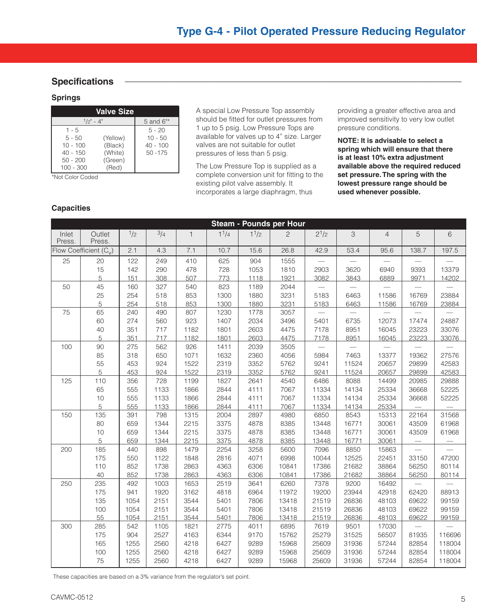### $S$  pecifications

#### **Springs**

| <b>Valve Size</b>      |                     |                         |  |  |  |  |  |  |  |  |
|------------------------|---------------------|-------------------------|--|--|--|--|--|--|--|--|
|                        | $1/2" - 4"$         |                         |  |  |  |  |  |  |  |  |
| $1 - 5$                |                     | $5 - 20$                |  |  |  |  |  |  |  |  |
| $5 - 50$<br>$10 - 100$ | (Yellow)<br>(Black) | $10 - 50$<br>$40 - 100$ |  |  |  |  |  |  |  |  |
| $40 - 150$             | (White)             | $50 - 175$              |  |  |  |  |  |  |  |  |
| $50 - 200$             | (Green)             |                         |  |  |  |  |  |  |  |  |
| 100 - 300              | (Red)               |                         |  |  |  |  |  |  |  |  |

\*Not Color Coded

A special Low Pressure Top assembly should be fitted for outlet pressures from 1 up to 5 psig. Low Pressure Tops are available for valves up to 4" size. Larger valves are not suitable for outlet pressures of less than 5 psig.

The Low Pressure Top is supplied as a complete conversion unit for fitting to the existing pilot valve assembly. It incorporates a large diaphragm, thus

providing a greater effective area and improved sensitivity to very low outlet pressure conditions.

**NOTE: It is advisable to select a spring which will ensure that there is at least 10% extra adjustment available above the required reduced set pressure. The spring with the lowest pressure range should be used whenever possible.**

#### **Capacities**

|                 |                          |      |      |              |           |                   | <b>Steam - Pounds per Hour</b> |                          |                          |                |                          |        |
|-----------------|--------------------------|------|------|--------------|-----------|-------------------|--------------------------------|--------------------------|--------------------------|----------------|--------------------------|--------|
| Inlet<br>Press. | Outlet<br>Press.         | 1/2  | 3/4  | $\mathbf{1}$ | $1^{1/4}$ | 1 <sup>1</sup> /2 | $\overline{c}$                 | $2^{1/2}$                | 3                        | $\overline{4}$ | 5                        | 6      |
|                 | Flow Coefficient $(C_v)$ | 2.1  | 4.3  | 7.1          | 10.7      | 15.6              | 26.8                           | 42.9                     | 53.4                     | 95.6           | 138.7                    | 197.5  |
| 25              | 20                       | 122  | 249  | 410          | 625       | 904               | 1555                           | $\overline{\phantom{0}}$ | $\overline{\phantom{0}}$ |                |                          |        |
|                 | 15                       | 142  | 290  | 478          | 728       | 1053              | 1810                           | 2903                     | 3620                     | 6940           | 9393                     | 13379  |
|                 | 5                        | 151  | 308  | 507          | 773       | 1118              | 1921                           | 3082                     | 3843                     | 6889           | 9971                     | 14202  |
| 50              | 45                       | 160  | 327  | 540          | 823       | 1189              | 2044                           |                          |                          |                |                          |        |
|                 | 25                       | 254  | 518  | 853          | 1300      | 1880              | 3231                           | 5183                     | 6463                     | 11586          | 16769                    | 23884  |
|                 | 5                        | 254  | 518  | 853          | 1300      | 1880              | 3231                           | 5183                     | 6463                     | 11586          | 16769                    | 23884  |
| 75              | 65                       | 240  | 490  | 807          | 1230      | 1778              | 3057                           | $\overline{\phantom{0}}$ |                          |                |                          |        |
|                 | 60                       | 274  | 560  | 923          | 1407      | 2034              | 3496                           | 5401                     | 6735                     | 12073          | 17474                    | 24887  |
|                 | 40                       | 351  | 717  | 1182         | 1801      | 2603              | 4475                           | 7178                     | 8951                     | 16045          | 23223                    | 33076  |
|                 | 5                        | 351  | 717  | 1182         | 1801      | 2603              | 4475                           | 7178                     | 8951                     | 16045          | 23223                    | 33076  |
| 100             | 90                       | 275  | 562  | 926          | 1411      | 2039              | 3505                           |                          |                          |                |                          |        |
|                 | 85                       | 318  | 650  | 1071         | 1632      | 2360              | 4056                           | 5984                     | 7463                     | 13377          | 19362                    | 27576  |
|                 | 55                       | 453  | 924  | 1522         | 2319      | 3352              | 5762                           | 9241                     | 11524                    | 20657          | 29899                    | 42583  |
|                 | 5                        | 453  | 924  | 1522         | 2319      | 3352              | 5762                           | 9241                     | 11524                    | 20657          | 29899                    | 42583  |
| 125             | 110                      | 356  | 728  | 1199         | 1827      | 2641              | 4540                           | 6486                     | 8088                     | 14499          | 20985                    | 29888  |
|                 | 65                       | 555  | 1133 | 1866         | 2844      | 4111              | 7067                           | 11334                    | 14134                    | 25334          | 36668                    | 52225  |
|                 | 10                       | 555  | 1133 | 1866         | 2844      | 4111              | 7067                           | 11334                    | 14134                    | 25334          | 36668                    | 52225  |
|                 | 5                        | 555  | 1133 | 1866         | 2844      | 4111              | 7067                           | 11334                    | 14134                    | 25334          |                          |        |
| 150             | 135                      | 391  | 798  | 1315         | 2004      | 2897              | 4980                           | 6850                     | 8543                     | 15313          | 22164                    | 31568  |
|                 | 80                       | 659  | 1344 | 2215         | 3375      | 4878              | 8385                           | 13448                    | 16771                    | 30061          | 43509                    | 61968  |
|                 | 10                       | 659  | 1344 | 2215         | 3375      | 4878              | 8385                           | 13448                    | 16771                    | 30061          | 43509                    | 61968  |
|                 | 5                        | 659  | 1344 | 2215         | 3375      | 4878              | 8385                           | 13448                    | 16771                    | 30061          |                          |        |
| 200             | 185                      | 440  | 898  | 1479         | 2254      | 3258              | 5600                           | 7096                     | 8850                     | 15863          | $\overline{\phantom{0}}$ |        |
|                 | 175                      | 550  | 1122 | 1848         | 2816      | 4071              | 6998                           | 10044                    | 12525                    | 22451          | 33150                    | 47200  |
|                 | 110                      | 852  | 1738 | 2863         | 4363      | 6306              | 10841                          | 17386                    | 21682                    | 38864          | 56250                    | 80114  |
|                 | 40                       | 852  | 1738 | 2863         | 4363      | 6306              | 10841                          | 17386                    | 21682                    | 38864          | 56250                    | 80114  |
| 250             | 235                      | 492  | 1003 | 1653         | 2519      | 3641              | 6260                           | 7378                     | 9200                     | 16492          |                          |        |
|                 | 175                      | 941  | 1920 | 3162         | 4818      | 6964              | 11972                          | 19200                    | 23944                    | 42918          | 62420                    | 88913  |
|                 | 135                      | 1054 | 2151 | 3544         | 5401      | 7806              | 13418                          | 21519                    | 26836                    | 48103          | 69622                    | 99159  |
|                 | 100                      | 1054 | 2151 | 3544         | 5401      | 7806              | 13418                          | 21519                    | 26836                    | 48103          | 69622                    | 99159  |
|                 | 55                       | 1054 | 2151 | 3544         | 5401      | 7806              | 13418                          | 21519                    | 26836                    | 48103          | 69622                    | 99159  |
| 300             | 285                      | 542  | 1105 | 1821         | 2775      | 4011              | 6895                           | 7619                     | 9501                     | 17030          |                          |        |
|                 | 175                      | 904  | 2527 | 4163         | 6344      | 9170              | 15762                          | 25279                    | 31525                    | 56507          | 81935                    | 116696 |
|                 | 165                      | 1255 | 2560 | 4218         | 6427      | 9289              | 15968                          | 25609                    | 31936                    | 57244          | 82854                    | 118004 |
|                 | 100                      | 1255 | 2560 | 4218         | 6427      | 9289              | 15968                          | 25609                    | 31936                    | 57244          | 82854                    | 118004 |
|                 | 75                       | 1255 | 2560 | 4218         | 6427      | 9289              | 15968                          | 25609                    | 31936                    | 57244          | 82854                    | 118004 |

These capacities are based on a 3% variance from the regulator's set point.